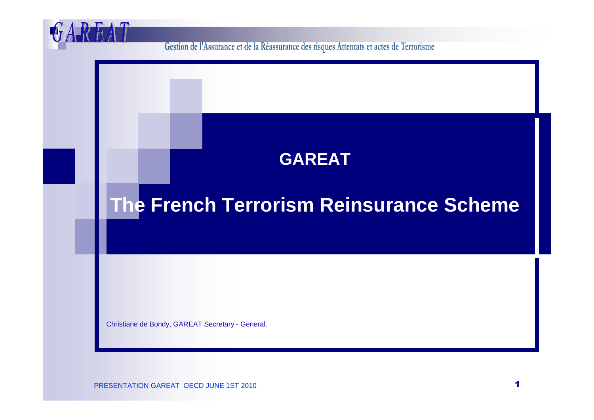Gestion de l'Assurance et de la Réassurance des risques Attentats et actes de Terrorisme

### **GAREAT**

# **The French Terrorism Reinsurance Scheme**

Christiane de Bondy, GAREAT Secretary - General.

H

PRESENTATION GAREAT OECD JUNE 1ST 2010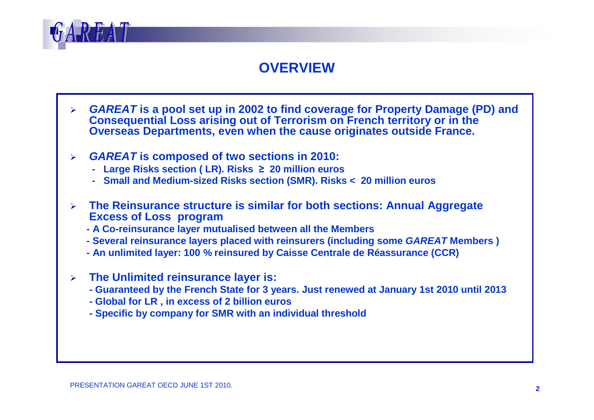

#### **OVERVIEW**

- $\blacktriangleright$  **GAREAT is a pool set up in 2002 to find coverage for Property Damage (PD) and Consequential Loss arising out of Terrorism on French territory or in the Overseas Departments, even when the cause originates outside France.**
- ➤ **GAREAT is composed of two sections in 2010:**
	- **- Large Risks section ( LR). Risks** <sup>≥</sup> **20 million euros**
	- **- Small and Medium-sized Risks section (SMR). Risks < 20 million euros**
- $\blacktriangleright$  **The Reinsurance structure is similar for both sections: Annual Aggregate Excess of Loss program**
	- **- A Co-reinsurance layer mutualised between all the Members**
	- **- Several reinsurance layers placed with reinsurers (including some GAREAT Members )**
	- **- An unlimited layer: 100 % reinsured by Caisse Centrale de Réassurance (CCR)**
- $\blacktriangleright$  **The Unlimited reinsurance layer is:** 
	- **- Guaranteed by the French State for 3 years. Just renewed at January 1st 2010 until 2013**
	- **- Global for LR , in excess of 2 billion euros**
	- **- Specific by company for SMR with an individual threshold**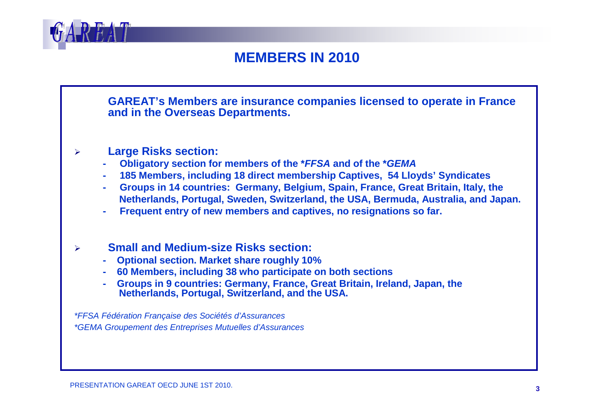

#### **MEMBERS IN 2010**

**GAREAT's Members are insurance companies licensed to operate in France and in the Overseas Departments.** 

#### $\blacktriangleright$ **Large Risks section:**

- **- Obligatory section for members of the \*FFSA and of the \*GEMA**
- **- 185 Members, including 18 direct membership Captives, 54 Lloyds' Syndicates**
- **- Groups in 14 countries: Germany, Belgium, Spain, France, Great Britain, Italy, theNetherlands, Portugal, Sweden, Switzerland, the USA, Bermuda, Australia, and Japan.**
- **Frequent entry of new members and captives, no resignations so far.**

#### $\blacktriangleright$ **Small and Medium-size Risks section:**

- **- Optional section. Market share roughly 10%**
- **- 60 Members, including 38 who participate on both sections**
- **- Groups in 9 countries: Germany, France, Great Britain, Ireland, Japan, theNetherlands, Portugal, Switzerland, and the USA.**

\*FFSA Fédération Française des Sociétés d'Assurances \*GEMA Groupement des Entreprises Mutuelles d'Assurances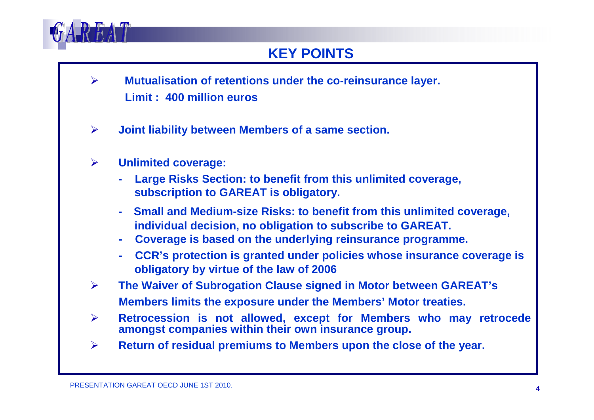

#### **KEY POINTS**

- $\blacktriangleright$  **Mutualisation of retentions under the co-reinsurance layer. Limit : 400 million euros**
- $\blacktriangleright$ **Joint liability between Members of a same section.**
- $\blacktriangleright$  **Unlimited coverage:** 
	- **- Large Risks Section: to benefit from this unlimited coverage, subscription to GAREAT is obligatory.**
	- **- Small and Medium-size Risks: to benefit from this unlimited coverage, individual decision, no obligation to subscribe to GAREAT.**
	- **- Coverage is based on the underlying reinsurance programme.**
	- **- CCR's protection is granted under policies whose insurance coverage isobligatory by virtue of the law of 2006**
- $\blacktriangleright$  **The Waiver of Subrogation Clause signed in Motor between GAREAT's Members limits the exposure under the Members' Motor treaties.**
- $\blacktriangleright$ **Retrocession is not allowed, except for Members who may retrocede amongst companies within their own insurance group.**
- $\blacktriangleright$ **Return of residual premiums to Members upon the close of the year.**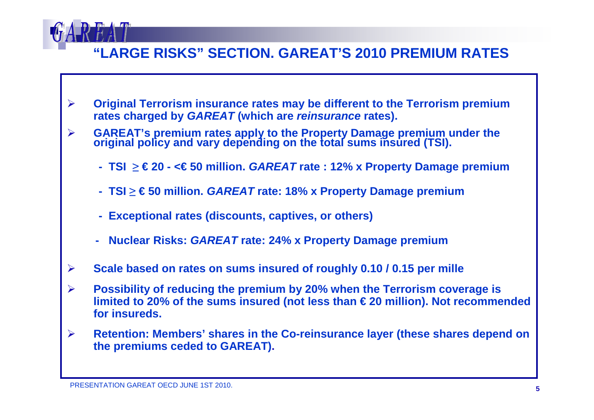

#### **"LARGE RISKS" SECTION. GAREAT'S 2010 PREMIUM RATES**

- $\blacktriangleright$  **Original Terrorism insurance rates may be different to the Terrorism premium rates charged by GAREAT (which are reinsurance rates).**
- $\blacktriangleright$ GAREAT's premium rates apply to the Property Damage premium under the original policy and vary depending on the total sums insured (TSI).
	- **- TSI** ≥ **€ 20 - <€ 50 million. GAREAT rate : 12% x Property Damage premium**
	- **- TSI** ≥ **€ 50 million. GAREAT rate: 18% x Property Damage premium**
	- **- Exceptional rates (discounts, captives, or others)**
	- **- Nuclear Risks: GAREAT rate: 24% x Property Damage premium**
- $\blacktriangleright$ **Scale based on rates on sums insured of roughly 0.10 / 0.15 per mille**
- $\blacktriangleright$  **Possibility of reducing the premium by 20% when the Terrorism coverage is limited to 20% of the sums insured (not less than €20 million). Not recommended for insureds.**
- $\blacktriangleright$  **Retention: Members' shares in the Co-reinsurance layer (these shares depend on the premiums ceded to GAREAT).**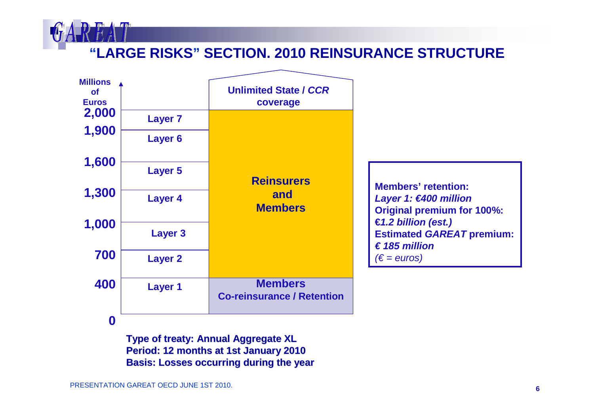

## **"LARGE RISKS" SECTION. 2010 REINSURANCE STRUCTURE**



**Type of treaty: Annual Aggregate XL Period: 12 months at 1st January <sup>2010</sup> Basis: Losses occurring during the year**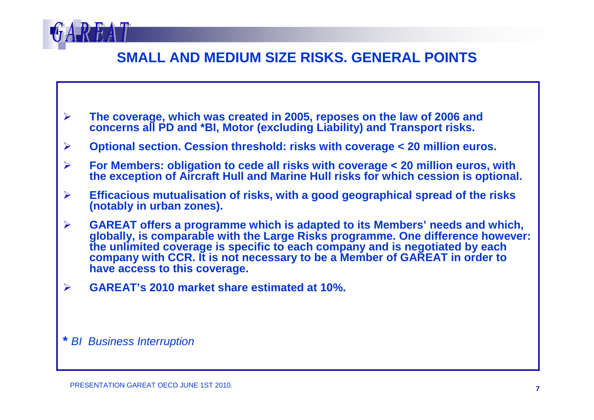

#### **SMALL AND MEDIUM SIZE RISKS. GENERAL POINTS**

- $\blacktriangleright$ **The coverage, which was created in 2005, reposes on the law of 2006 and concerns all PD and \*BI, Motor (excluding Liability) and Transport risks.**
- $\blacktriangleright$ **Optional section. Cession threshold: risks with coverage < 20 million euros.**
- $\blacktriangleright$  **For Members: obligation to cede all risks with coverage < 20 million euros, with the exception of Aircraft Hull and Marine Hull risks for which cession is optional.**
- $\blacktriangleright$  **Efficacious mutualisation of risks, with a good geographical spread of the risks (notably in urban zones).**
- $\blacktriangleright$ > GAREAT offers a programme which is adapted to its Members' needs and which,<br>globally, is comparable with the Large Risks programme. One difference however:<br>the unlimited coverage is specific to each company and is negoti **have access to this coverage.**
- $\blacktriangleright$ **GAREAT's 2010 market share estimated at 10%.**

**\*** BI Business Interruption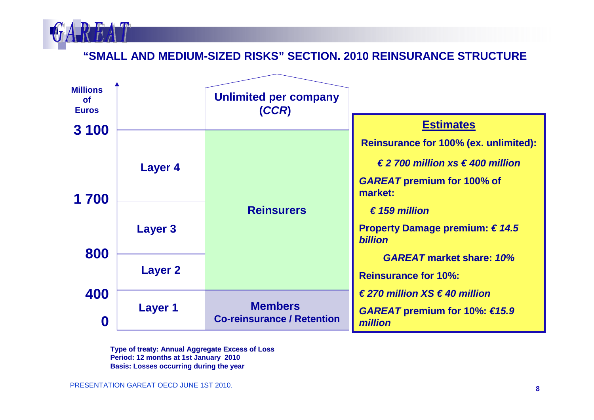

**"SMALL AND MEDIUM-SIZED RISKS" SECTION. 2010 REINSURANCE STRUCTURE**



**Type of treaty: Annual Aggregate Excess of Loss Period: 12 months at 1st January 2010 Basis: Losses occurring during the year**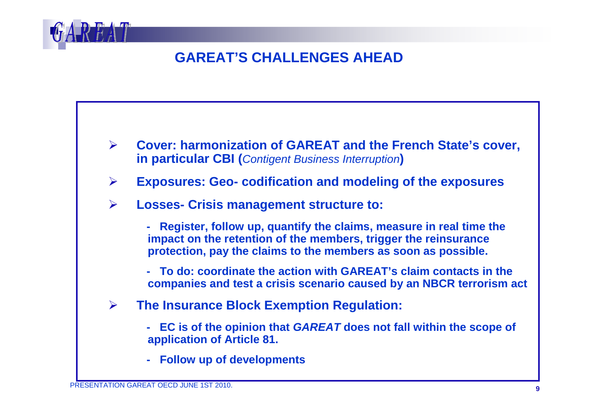

### **GAREAT'S CHALLENGES AHEAD**



- $\blacktriangleright$ **Exposures: Geo- codification and modeling of the exposures**
- $\blacktriangleright$  **Losses- Crisis management structure to:** 
	- **- Register, follow up, quantify the claims, measure in real time theimpact on the retention of the members, trigger the reinsurance protection, pay the claims to the members as soon as possible.**

**- To do: coordinate the action with GAREAT's claim contacts in thecompanies and test a crisis scenario caused by an NBCR terrorism act**

- $\blacktriangleright$  **The Insurance Block Exemption Regulation:**
	- **- EC is of the opinion that GAREAT does not fall within the scope of application of Article 81.**
	- **- Follow up of developments**